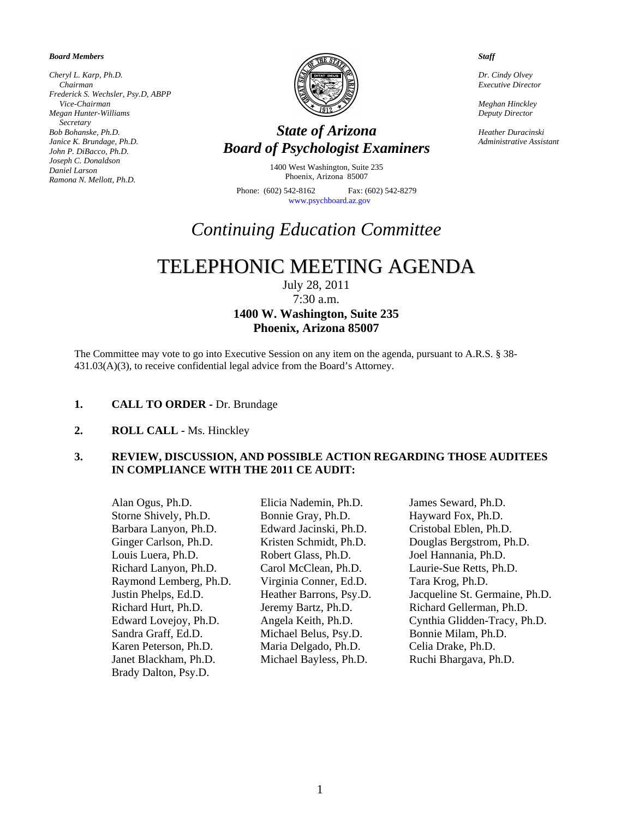#### *Board Members*

*Cheryl L. Karp, Ph.D. Chairman Frederick S. Wechsler, Psy.D, ABPP Vice-Chairman Megan Hunter-Williams Secretary Bob Bohanske, Ph.D. Janice K. Brundage, Ph.D. John P. DiBacco, Ph.D. Joseph C. Donaldson Daniel Larson Ramona N. Mellott, Ph.D.* 



# *State of Arizona Board of Psychologist Examiners*

1400 West Washington, Suite 235 Phoenix, Arizona 85007

Phone: (602) 542-8162 Fax: (602) 542-8279 [www.psychboard.az.gov](http://www.psychboard.az.gov/) 

# *Continuing Education Committee*

# TELEPHONIC MEETING AGENDA

July 28, 2011

7:30 a.m.

# **1400 W. Washington, Suite 235 Phoenix, Arizona 85007**

The Committee may vote to go into Executive Session on any item on the agenda, pursuant to A.R.S. § 38- 431.03(A)(3), to receive confidential legal advice from the Board's Attorney.

### 1. **CALL TO ORDER - Dr. Brundage**

**2. ROLL CALL -** Ms. Hinckley

# **3. REVIEW, DISCUSSION, AND POSSIBLE ACTION REGARDING THOSE AUDITEES IN COMPLIANCE WITH THE 2011 CE AUDIT:**

 Alan Ogus, Ph.D. Elicia Nademin, Ph.D. James Seward, Ph.D. Storne Shively, Ph.D. Bonnie Gray, Ph.D. Hayward Fox, Ph.D. Barbara Lanyon, Ph.D. Edward Jacinski, Ph.D. Cristobal Eblen, Ph.D. Louis Luera, Ph.D. Robert Glass, Ph.D. Joel Hannania, Ph.D. Richard Lanyon, Ph.D. Carol McClean, Ph.D. Laurie-Sue Retts, Ph.D. Raymond Lemberg, Ph.D. Virginia Conner, Ed.D. Tara Krog, Ph.D. Sandra Graff, Ed.D. Michael Belus, Psy.D. Bonnie Milam, Ph.D. Karen Peterson, Ph.D. Maria Delgado, Ph.D. Celia Drake, Ph.D. Janet Blackham, Ph.D. Michael Bayless, Ph.D. Ruchi Bhargava, Ph.D. Brady Dalton, Psy.D.

Ginger Carlson, Ph.D. Kristen Schmidt, Ph.D. Douglas Bergstrom, Ph.D. Justin Phelps, Ed.D. Heather Barrons, Psy.D. Jacqueline St. Germaine, Ph.D. Richard Hurt, Ph.D. Jeremy Bartz, Ph.D. Richard Gellerman, Ph.D. Edward Lovejoy, Ph.D. Angela Keith, Ph.D. Cynthia Glidden-Tracy, Ph.D.

#### *Staff*

*Dr. Cindy Olvey Executive Director* 

*Meghan Hinckley Deputy Director* 

*Heather Duracinski Administrative Assistant*